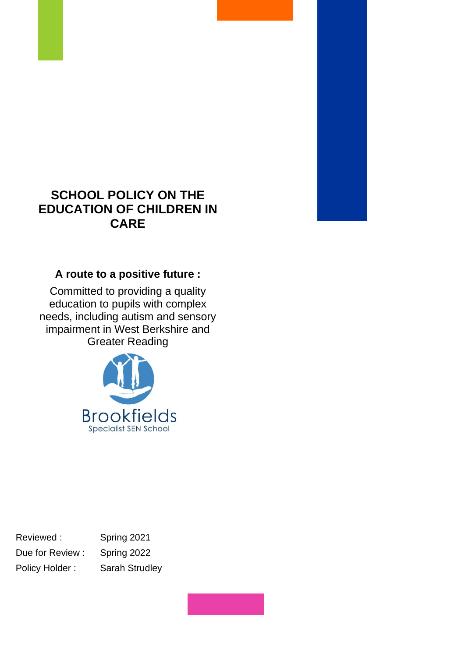# **SCHOOL POLICY ON THE EDUCATION OF CHILDREN IN CARE**

## **A route to a positive future :**

Committed to providing a quality education to pupils with complex needs, including autism and sensory impairment in West Berkshire and Greater Reading



Reviewed : Spring 2021 Due for Review : Spring 2022 Policy Holder : Sarah Strudley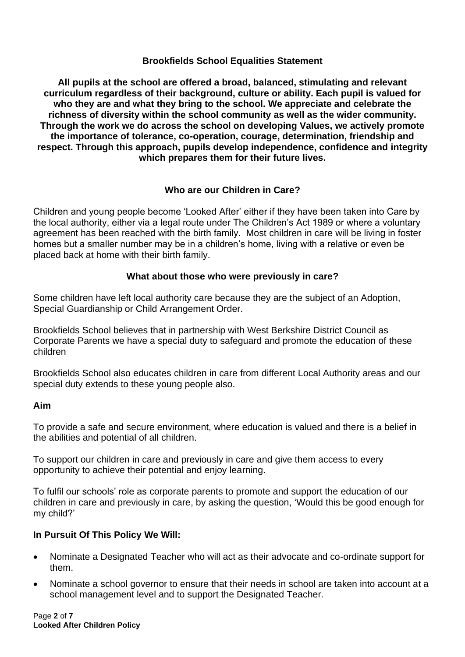#### **Brookfields School Equalities Statement**

**All pupils at the school are offered a broad, balanced, stimulating and relevant curriculum regardless of their background, culture or ability. Each pupil is valued for who they are and what they bring to the school. We appreciate and celebrate the richness of diversity within the school community as well as the wider community. Through the work we do across the school on developing Values, we actively promote the importance of tolerance, co-operation, courage, determination, friendship and respect. Through this approach, pupils develop independence, confidence and integrity which prepares them for their future lives.**

### **Who are our Children in Care?**

Children and young people become 'Looked After' either if they have been taken into Care by the local authority, either via a legal route under The Children's Act 1989 or where a voluntary agreement has been reached with the birth family. Most children in care will be living in foster homes but a smaller number may be in a children's home, living with a relative or even be placed back at home with their birth family.

### **What about those who were previously in care?**

Some children have left local authority care because they are the subject of an Adoption, Special Guardianship or Child Arrangement Order.

Brookfields School believes that in partnership with West Berkshire District Council as Corporate Parents we have a special duty to safeguard and promote the education of these children

Brookfields School also educates children in care from different Local Authority areas and our special duty extends to these young people also.

#### **Aim**

To provide a safe and secure environment, where education is valued and there is a belief in the abilities and potential of all children.

To support our children in care and previously in care and give them access to every opportunity to achieve their potential and enjoy learning.

To fulfil our schools' role as corporate parents to promote and support the education of our children in care and previously in care, by asking the question, 'Would this be good enough for my child?'

### **In Pursuit Of This Policy We Will:**

- Nominate a Designated Teacher who will act as their advocate and co-ordinate support for them.
- Nominate a school governor to ensure that their needs in school are taken into account at a school management level and to support the Designated Teacher.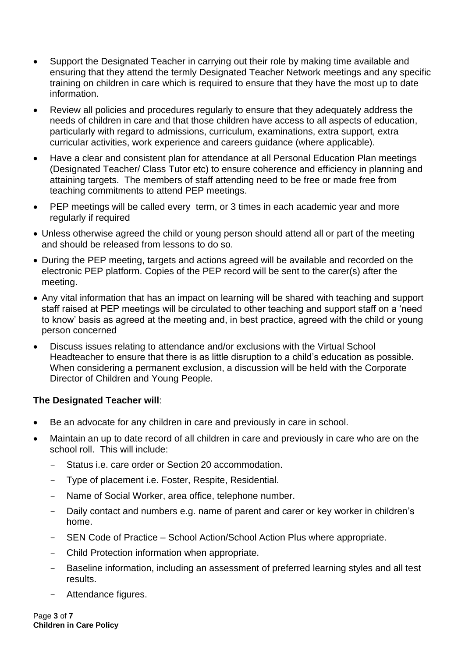- Support the Designated Teacher in carrying out their role by making time available and ensuring that they attend the termly Designated Teacher Network meetings and any specific training on children in care which is required to ensure that they have the most up to date information.
- Review all policies and procedures regularly to ensure that they adequately address the needs of children in care and that those children have access to all aspects of education, particularly with regard to admissions, curriculum, examinations, extra support, extra curricular activities, work experience and careers guidance (where applicable).
- Have a clear and consistent plan for attendance at all Personal Education Plan meetings (Designated Teacher/ Class Tutor etc) to ensure coherence and efficiency in planning and attaining targets. The members of staff attending need to be free or made free from teaching commitments to attend PEP meetings.
- PEP meetings will be called every term, or 3 times in each academic year and more regularly if required
- Unless otherwise agreed the child or young person should attend all or part of the meeting and should be released from lessons to do so.
- During the PEP meeting, targets and actions agreed will be available and recorded on the electronic PEP platform. Copies of the PEP record will be sent to the carer(s) after the meeting.
- Any vital information that has an impact on learning will be shared with teaching and support staff raised at PEP meetings will be circulated to other teaching and support staff on a 'need to know' basis as agreed at the meeting and, in best practice, agreed with the child or young person concerned
- Discuss issues relating to attendance and/or exclusions with the Virtual School Headteacher to ensure that there is as little disruption to a child's education as possible. When considering a permanent exclusion, a discussion will be held with the Corporate Director of Children and Young People.

#### **The Designated Teacher will**:

- Be an advocate for any children in care and previously in care in school.
- Maintain an up to date record of all children in care and previously in care who are on the school roll. This will include:
	- Status i.e. care order or Section 20 accommodation.
	- Type of placement i.e. Foster, Respite, Residential.
	- Name of Social Worker, area office, telephone number.
	- Daily contact and numbers e.g. name of parent and carer or key worker in children's home.
	- SEN Code of Practice School Action/School Action Plus where appropriate.
	- Child Protection information when appropriate.
	- Baseline information, including an assessment of preferred learning styles and all test results.
	- Attendance figures.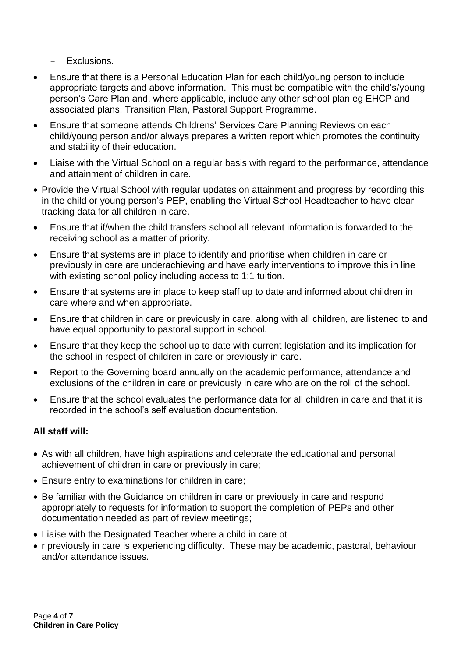- Exclusions.

- Ensure that there is a Personal Education Plan for each child/young person to include appropriate targets and above information. This must be compatible with the child's/young person's Care Plan and, where applicable, include any other school plan eg EHCP and associated plans, Transition Plan, Pastoral Support Programme.
- Ensure that someone attends Childrens' Services Care Planning Reviews on each child/young person and/or always prepares a written report which promotes the continuity and stability of their education.
- Liaise with the Virtual School on a regular basis with regard to the performance, attendance and attainment of children in care.
- Provide the Virtual School with regular updates on attainment and progress by recording this in the child or young person's PEP, enabling the Virtual School Headteacher to have clear tracking data for all children in care.
- Ensure that if/when the child transfers school all relevant information is forwarded to the receiving school as a matter of priority.
- Ensure that systems are in place to identify and prioritise when children in care or previously in care are underachieving and have early interventions to improve this in line with existing school policy including access to 1:1 tuition.
- Ensure that systems are in place to keep staff up to date and informed about children in care where and when appropriate.
- Ensure that children in care or previously in care, along with all children, are listened to and have equal opportunity to pastoral support in school.
- Ensure that they keep the school up to date with current legislation and its implication for the school in respect of children in care or previously in care.
- Report to the Governing board annually on the academic performance, attendance and exclusions of the children in care or previously in care who are on the roll of the school.
- Ensure that the school evaluates the performance data for all children in care and that it is recorded in the school's self evaluation documentation.

### **All staff will:**

- As with all children, have high aspirations and celebrate the educational and personal achievement of children in care or previously in care;
- Ensure entry to examinations for children in care;
- Be familiar with the Guidance on children in care or previously in care and respond appropriately to requests for information to support the completion of PEPs and other documentation needed as part of review meetings;
- Liaise with the Designated Teacher where a child in care ot
- r previously in care is experiencing difficulty. These may be academic, pastoral, behaviour and/or attendance issues.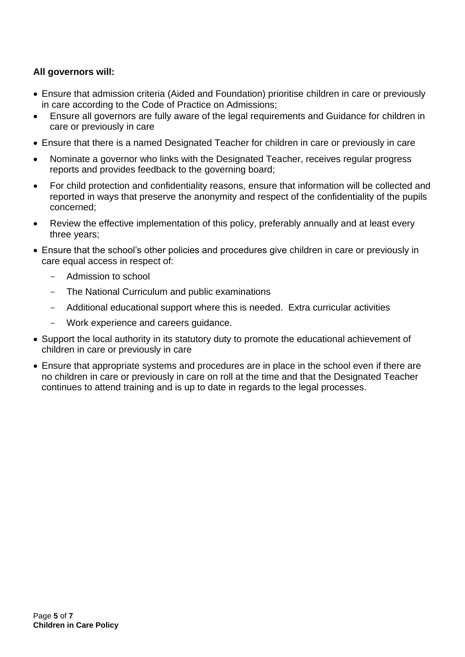### **All governors will:**

- Ensure that admission criteria (Aided and Foundation) prioritise children in care or previously in care according to the Code of Practice on Admissions;
- Ensure all governors are fully aware of the legal requirements and Guidance for children in care or previously in care
- Ensure that there is a named Designated Teacher for children in care or previously in care
- Nominate a governor who links with the Designated Teacher, receives regular progress reports and provides feedback to the governing board;
- For child protection and confidentiality reasons, ensure that information will be collected and reported in ways that preserve the anonymity and respect of the confidentiality of the pupils concerned;
- Review the effective implementation of this policy, preferably annually and at least every three years;
- Ensure that the school's other policies and procedures give children in care or previously in care equal access in respect of:
	- Admission to school
	- The National Curriculum and public examinations
	- Additional educational support where this is needed. Extra curricular activities
	- Work experience and careers quidance.
- Support the local authority in its statutory duty to promote the educational achievement of children in care or previously in care
- Ensure that appropriate systems and procedures are in place in the school even if there are no children in care or previously in care on roll at the time and that the Designated Teacher continues to attend training and is up to date in regards to the legal processes.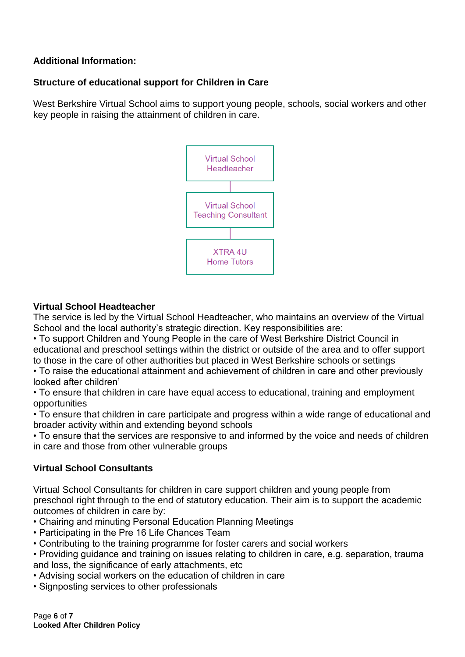### **Additional Information:**

### **Structure of educational support for Children in Care**

West Berkshire Virtual School aims to support young people, schools, social workers and other key people in raising the attainment of children in care.



### **Virtual School Headteacher**

The service is led by the Virtual School Headteacher, who maintains an overview of the Virtual School and the local authority's strategic direction. Key responsibilities are:

• To support Children and Young People in the care of West Berkshire District Council in educational and preschool settings within the district or outside of the area and to offer support to those in the care of other authorities but placed in West Berkshire schools or settings

• To raise the educational attainment and achievement of children in care and other previously looked after children'

• To ensure that children in care have equal access to educational, training and employment opportunities

• To ensure that children in care participate and progress within a wide range of educational and broader activity within and extending beyond schools

• To ensure that the services are responsive to and informed by the voice and needs of children in care and those from other vulnerable groups

### **Virtual School Consultants**

Virtual School Consultants for children in care support children and young people from preschool right through to the end of statutory education. Their aim is to support the academic outcomes of children in care by:

- Chairing and minuting Personal Education Planning Meetings
- Participating in the Pre 16 Life Chances Team
- Contributing to the training programme for foster carers and social workers
- Providing guidance and training on issues relating to children in care, e.g. separation, trauma and loss, the significance of early attachments, etc
- Advising social workers on the education of children in care
- Signposting services to other professionals